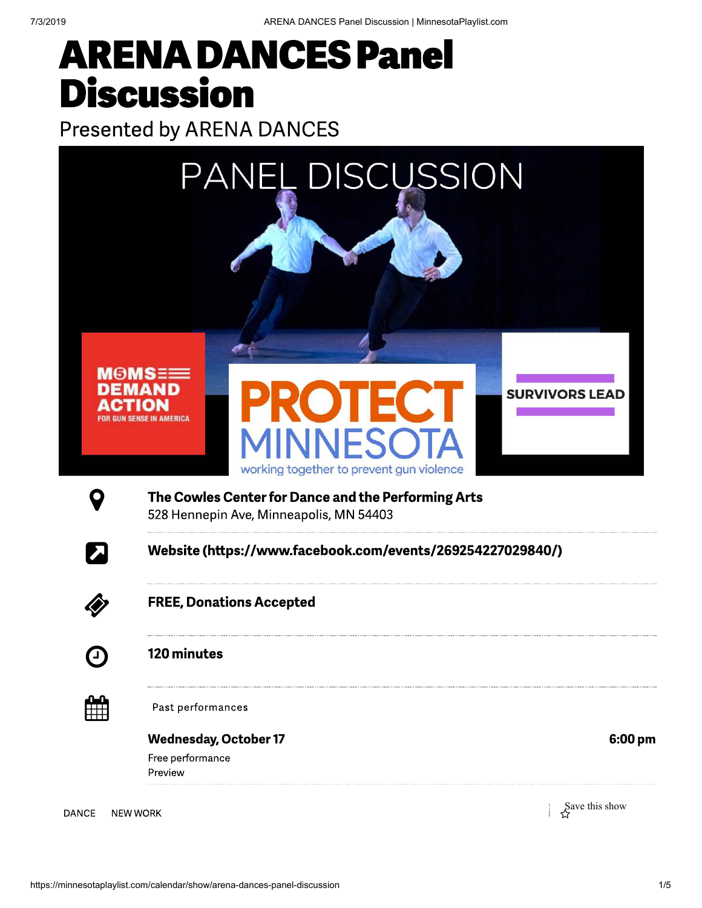# ARENA DANCES Panel **Discussion**

Presented by ARENA DANCES



528 Hennepin Ave, Minneapolis, MN 54403

 $\nabla$  Website (https://www.facebook.com/events/269254227029840/)



FREE, Donations Accepted



120 minutes



**Past performances** 

Wednesday, October 17 6:00 pm Free performance Preview

DANCE NEW WORK Show  $S^2$  New Work Show DANCE NEW WORK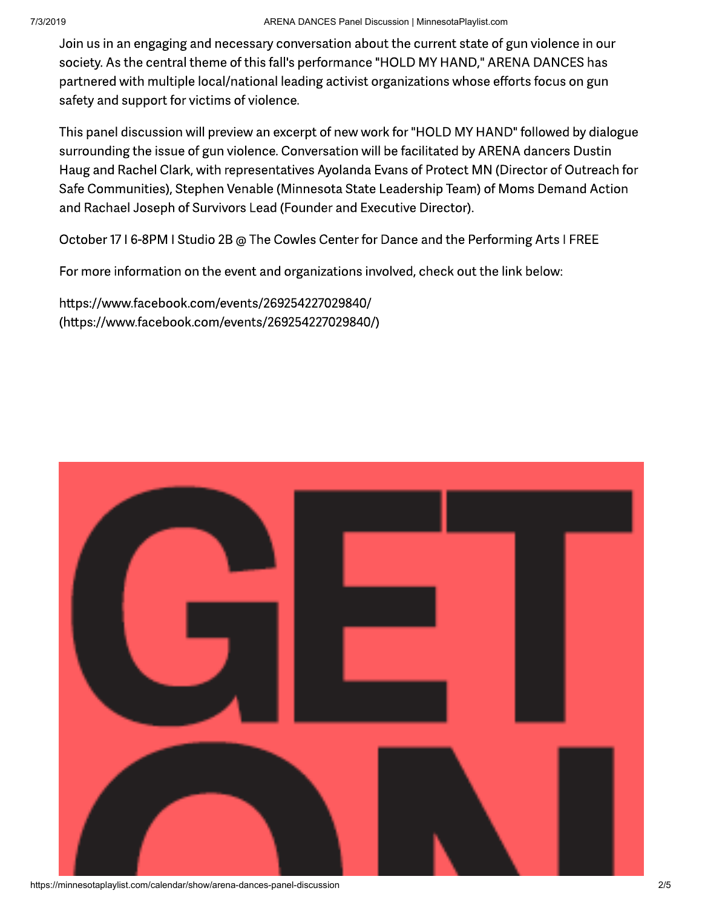Join us in an engaging and necessary conversation about the current state of gun violence in our society. As the central theme of this fall's performance "HOLD MY HAND," ARENA DANCES has partnered with multiple local/national leading activist organizations whose efforts focus on gun safety and support for victims of violence.

This panel discussion will preview an excerpt of new work for "HOLD MY HAND" followed by dialogue surrounding the issue of gun violence. Conversation will be facilitated by ARENA dancers Dustin Haug and Rachel Clark, with representatives Ayolanda Evans of Protect MN (Director of Outreach for Safe Communities), Stephen Venable (Minnesota State Leadership Team) of Moms Demand Action and Rachael Joseph of Survivors Lead (Founder and Executive Director).

October 17 I 6-8PM I Studio 2B @ The Cowles Center for Dance and the Performing Arts I FREE

For more information on the event and organizations involved, check out the link below:

https://www.facebook.com/events/269254227029840/ (https://www.facebook.com/events/269254227029840/)



https://minnesotaplaylist.com/calendar/show/arena-dances-panel-discussion 2/5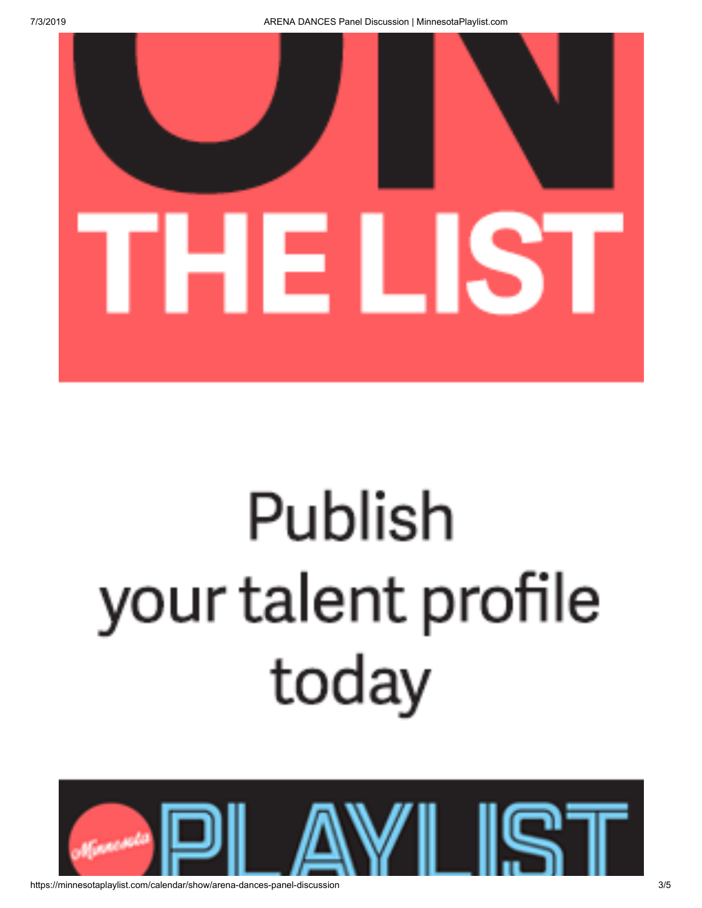

# Publish your talent profile today

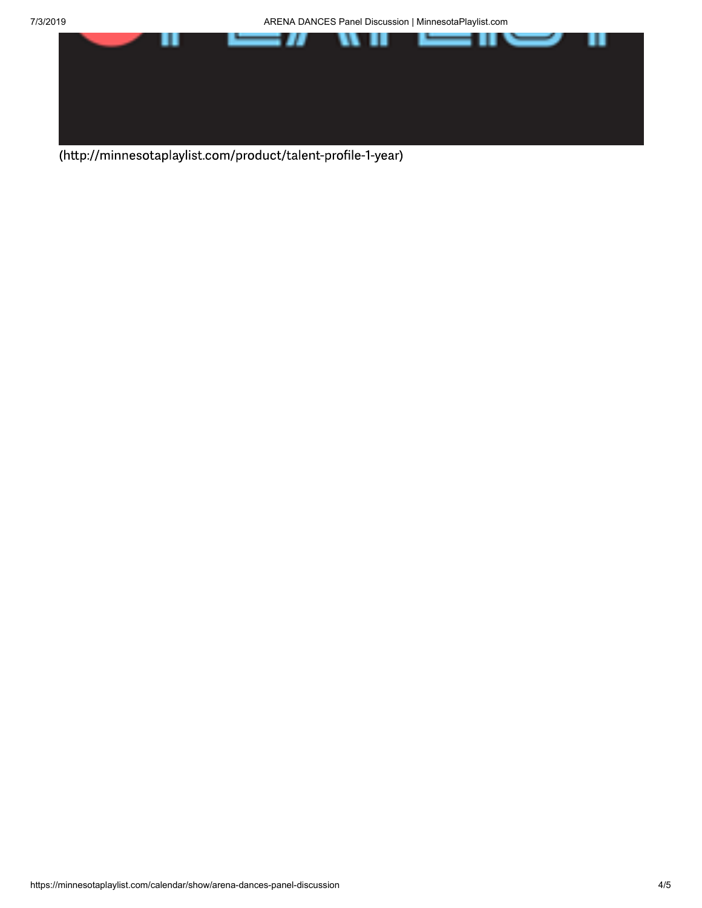7/3/2019 ARENA DANCES Panel Discussion | MinnesotaPlaylist.com



(http://minnesotaplaylist.com/product/talent-profile-1-year)